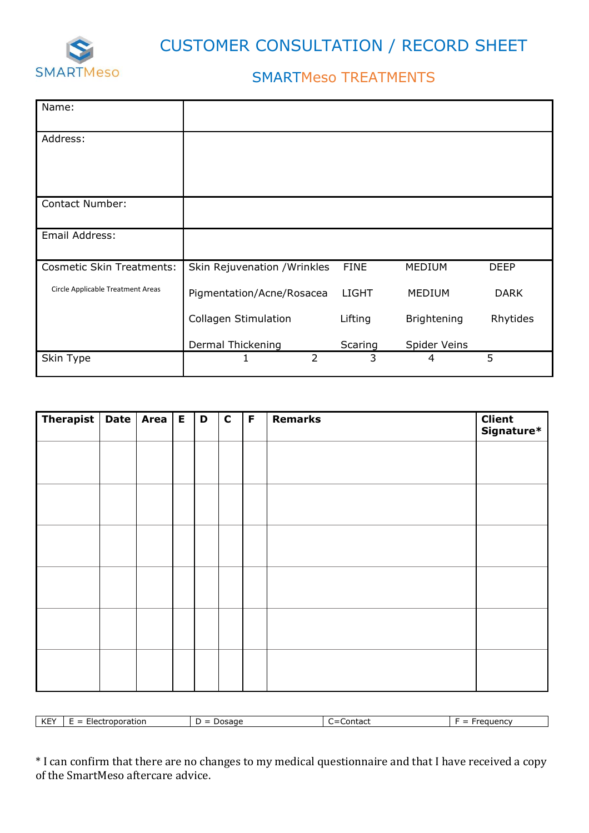

CUSTOMER CONSULTATION / RECORD SHEET

## SMARTMeso TREATMENTS

| Name:                             |                              |               |              |               |             |
|-----------------------------------|------------------------------|---------------|--------------|---------------|-------------|
| Address:                          |                              |               |              |               |             |
|                                   |                              |               |              |               |             |
|                                   |                              |               |              |               |             |
| Contact Number:                   |                              |               |              |               |             |
| Email Address:                    |                              |               |              |               |             |
| <b>Cosmetic Skin Treatments:</b>  | Skin Rejuvenation / Wrinkles |               | <b>FINE</b>  | <b>MEDIUM</b> | <b>DEEP</b> |
| Circle Applicable Treatment Areas | Pigmentation/Acne/Rosacea    |               | <b>LIGHT</b> | <b>MEDIUM</b> | <b>DARK</b> |
|                                   | <b>Collagen Stimulation</b>  |               | Lifting      | Brightening   | Rhytides    |
|                                   | Dermal Thickening            |               | Scaring      | Spider Veins  |             |
| Skin Type                         |                              | $\mathcal{P}$ | 3            | 4             | 5           |

| Therapist   Date   Area   E |  | D | $\mathbf C$ | $\mathsf F$ | <b>Remarks</b> | <b>Client</b><br>Signature* |
|-----------------------------|--|---|-------------|-------------|----------------|-----------------------------|
|                             |  |   |             |             |                |                             |
|                             |  |   |             |             |                |                             |
|                             |  |   |             |             |                |                             |
|                             |  |   |             |             |                |                             |
|                             |  |   |             |             |                |                             |
|                             |  |   |             |             |                |                             |
|                             |  |   |             |             |                |                             |
|                             |  |   |             |             |                |                             |
|                             |  |   |             |             |                |                             |
|                             |  |   |             |             |                |                             |
|                             |  |   |             |             |                |                             |
|                             |  |   |             |             |                |                             |

| $\mathsf{L}\mathsf{L}\mathsf{L}$<br>$-V$<br>KE. | troporation<br>rier<br>-<br>$\overline{\phantom{a}}$<br>_<br>_ | sage<br>א הו<br>- | $m+2$<br>Lontact<br>_ | uuency<br>_ |
|-------------------------------------------------|----------------------------------------------------------------|-------------------|-----------------------|-------------|

\* I can confirm that there are no changes to my medical questionnaire and that I have received a copy of the SmartMeso aftercare advice.